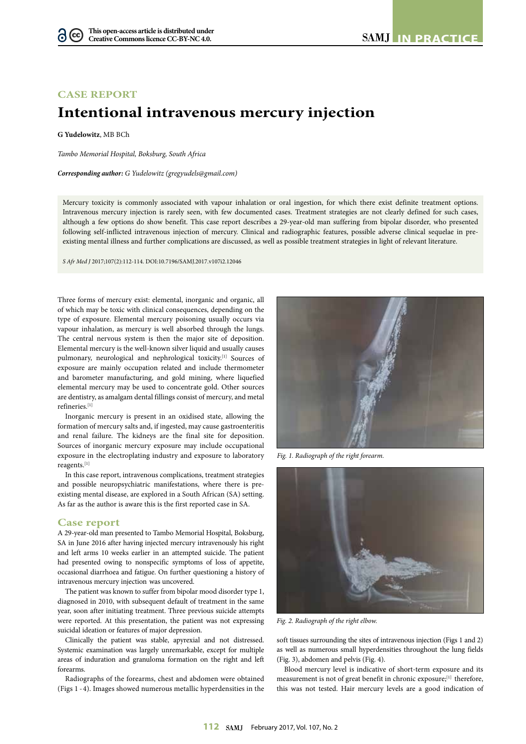## **CASE REPORT**

# **Intentional intravenous mercury injection**

**G Yudelowitz**, MB BCh

*Tambo Memorial Hospital, Boksburg, South Africa*

*Corresponding author: G Yudelowitz (gregyudels@gmail.com)*

Mercury toxicity is commonly associated with vapour inhalation or oral ingestion, for which there exist definite treatment options. Intravenous mercury injection is rarely seen, with few documented cases. Treatment strategies are not clearly defined for such cases, although a few options do show benefit. This case report describes a 29-year-old man suffering from bipolar disorder, who presented following self-inflicted intravenous injection of mercury. Clinical and radiographic features, possible adverse clinical sequelae in preexisting mental illness and further complications are discussed, as well as possible treatment strategies in light of relevant literature.

*S Afr Med J* 2017;107(2):112-114. DOI:10.7196/SAMJ.2017.v107i2.12046

Three forms of mercury exist: elemental, inorganic and organic, all of which may be toxic with clinical consequences, depending on the type of exposure. Elemental mercury poisoning usually occurs via vapour inhalation, as mercury is well absorbed through the lungs. The central nervous system is then the major site of deposition. Elemental mercury is the well-known silver liquid and usually causes pulmonary, neurological and nephrological toxicity.<sup>[1]</sup> Sources of exposure are mainly occupation related and include thermometer and barometer manufacturing, and gold mining, where liquefied elemental mercury may be used to concentrate gold. Other sources are dentistry, as amalgam dental fillings consist of mercury, and metal refineries.[1]

Inorganic mercury is present in an oxidised state, allowing the formation of mercury salts and, if ingested, may cause gastroenteritis and renal failure. The kidneys are the final site for deposition. Sources of inorganic mercury exposure may include occupational exposure in the electroplating industry and exposure to laboratory reagents.[1]

In this case report, intravenous complications, treatment strategies and possible neuropsychiatric manifestations, where there is preexisting mental disease, are explored in a South African (SA) setting. As far as the author is aware this is the first reported case in SA.

### **Case report**

A 29-year-old man presented to Tambo Memorial Hospital, Boksburg, SA in June 2016 after having injected mercury intravenously his right and left arms 10 weeks earlier in an attempted suicide. The patient had presented owing to nonspecific symptoms of loss of appetite, occasional diarrhoea and fatigue. On further questioning a history of intravenous mercury injection was uncovered.

The patient was known to suffer from bipolar mood disorder type 1, diagnosed in 2010, with subsequent default of treatment in the same year, soon after initiating treatment. Three previous suicide attempts were reported. At this presentation, the patient was not expressing suicidal ideation or features of major depression.

Clinically the patient was stable, apyrexial and not distressed. Systemic examination was largely unremarkable, except for multiple areas of induration and granuloma formation on the right and left forearms.

Radiographs of the forearms, chest and abdomen were obtained (Figs 1 - 4). Images showed numerous metallic hyperdensities in the



*Fig. 1. Radiograph of the right forearm.*



*Fig. 2. Radiograph of the right elbow.*

soft tissues surrounding the sites of intravenous injection (Figs 1 and 2) as well as numerous small hyperdensities throughout the lung fields (Fig. 3), abdomen and pelvis (Fig. 4).

Blood mercury level is indicative of short-term exposure and its measurement is not of great benefit in chronic exposure;<sup>[1]</sup> therefore, this was not tested. Hair mercury levels are a good indication of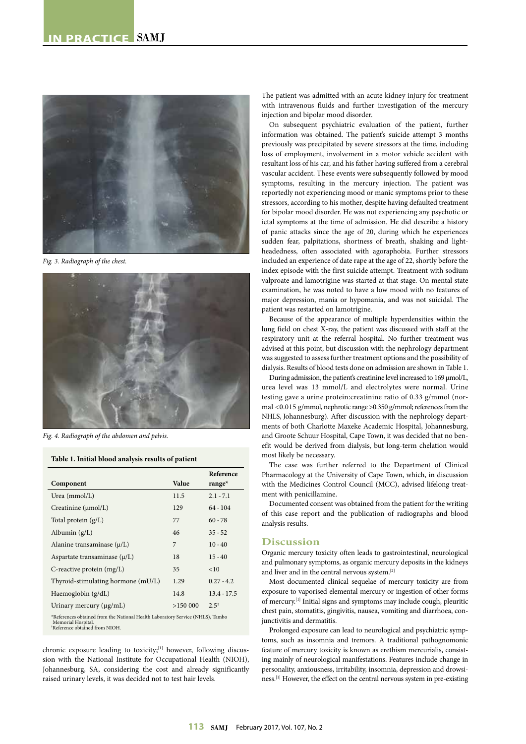

*Fig. 3. Radiograph of the chest.*



*Fig. 4. Radiograph of the abdomen and pelvis.*

### **Table 1. Initial blood analysis results of patient**

|                                                                                                                         |         | Reference       |
|-------------------------------------------------------------------------------------------------------------------------|---------|-----------------|
| Component                                                                                                               | Value   | range $*$       |
| Urea $(mmol/L)$                                                                                                         | 11.5    | $2.1 - 7.1$     |
| Creatinine (µmol/L)                                                                                                     | 129     | $64 - 104$      |
| Total protein $(g/L)$                                                                                                   | 77      | $60 - 78$       |
| Albumin $(g/L)$                                                                                                         | 46      | $35 - 52$       |
| Alanine transaminase $(\mu/L)$                                                                                          | 7       | $10 - 40$       |
| Aspartate transaminase $(\mu/L)$                                                                                        | 18      | $15 - 40$       |
| C-reactive protein $(mg/L)$                                                                                             | 35      | <10             |
| Thyroid-stimulating hormone (mU/L)                                                                                      | 1.29    | $0.27 - 4.2$    |
| Haemoglobin (g/dL)                                                                                                      | 14.8    | $13.4 - 17.5$   |
| Urinary mercury (µg/mL)                                                                                                 | >150000 | $2.5^{\dagger}$ |
| *References obtained from the National Health Laboratory Service (NHLS), Tambo<br>$M_{\rm{max}}$ and all $M_{\rm{max}}$ |         |                 |

Memorial Hospital. † Reference obtained from NIOH.

chronic exposure leading to toxicity;<sup>[1]</sup> however, following discussion with the National Institute for Occupational Health (NIOH), Johannesburg, SA, considering the cost and already significantly raised urinary levels, it was decided not to test hair levels.

The patient was admitted with an acute kidney injury for treatment with intravenous fluids and further investigation of the mercury injection and bipolar mood disorder.

On subsequent psychiatric evaluation of the patient, further information was obtained. The patient's suicide attempt 3 months previously was precipitated by severe stressors at the time, including loss of employment, involvement in a motor vehicle accident with resultant loss of his car, and his father having suffered from a cerebral vascular accident. These events were subsequently followed by mood symptoms, resulting in the mercury injection. The patient was reportedly not experiencing mood or manic symptoms prior to these stressors, according to his mother, despite having defaulted treatment for bipolar mood disorder. He was not experiencing any psychotic or ictal symptoms at the time of admission. He did describe a history of panic attacks since the age of 20, during which he experiences sudden fear, palpitations, shortness of breath, shaking and lightheadedness, often associated with agoraphobia. Further stressors included an experience of date rape at the age of 22, shortly before the index episode with the first suicide attempt. Treatment with sodium valproate and lamotrigine was started at that stage. On mental state examination, he was noted to have a low mood with no features of major depression, mania or hypomania, and was not suicidal. The patient was restarted on lamotrigine.

Because of the appearance of multiple hyperdensities within the lung field on chest X-ray, the patient was discussed with staff at the respiratory unit at the referral hospital. No further treatment was advised at this point, but discussion with the nephrology department was suggested to assess further treatment options and the possibility of dialysis. Results of blood tests done on admission are shown in Table 1.

During admission, the patient's creatinine level increased to 169 µmol/L, urea level was 13 mmol/L and electrolytes were normal. Urine testing gave a urine protein:creatinine ratio of 0.33 g/mmol (normal <0.015 g/mmol, nephrotic range >0.350 g/mmol; references from the NHLS, Johannesburg). After discussion with the nephrology departments of both Charlotte Maxeke Academic Hospital, Johannesburg, and Groote Schuur Hospital, Cape Town, it was decided that no benefit would be derived from dialysis, but long-term chelation would most likely be necessary.

The case was further referred to the Department of Clinical Pharmacology at the University of Cape Town, which, in discussion with the Medicines Control Council (MCC), advised lifelong treatment with penicillamine.

Documented consent was obtained from the patient for the writing of this case report and the publication of radiographs and blood analysis results.

#### **Discussion**

Organic mercury toxicity often leads to gastrointestinal, neurological and pulmonary symptoms, as organic mercury deposits in the kidneys and liver and in the central nervous system.[2]

Most documented clinical sequelae of mercury toxicity are from exposure to vaporised elemental mercury or ingestion of other forms of mercury.[1] Initial signs and symptoms may include cough, pleuritic chest pain, stomatitis, gingivitis, nausea, vomiting and diarrhoea, conjunctivitis and dermatitis.

Prolonged exposure can lead to neurological and psychiatric symptoms, such as insomnia and tremors. A traditional pathognomonic feature of mercury toxicity is known as erethism mercurialis, consisting mainly of neurological manifestations. Features include change in personality, anxiousness, irritability, insomnia, depression and drowsiness.[1] However, the effect on the central nervous system in pre-existing